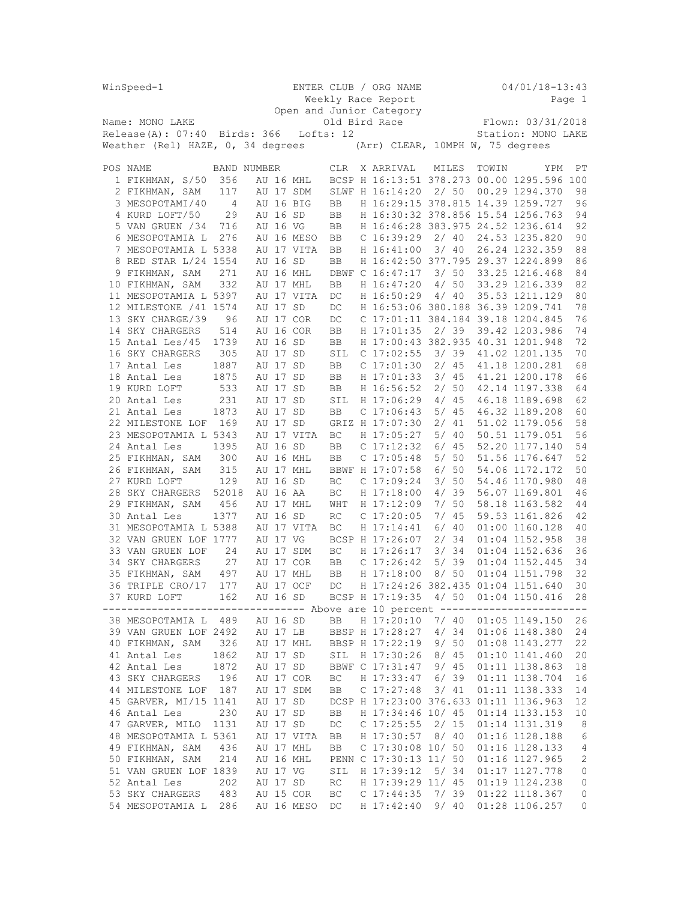| WinSpeed-1                       |                                   |                |          |  |            |            |  | ENTER CLUB / ORG NAME                           |       | $04/01/18 - 13:43$ |                                            |                |  |
|----------------------------------|-----------------------------------|----------------|----------|--|------------|------------|--|-------------------------------------------------|-------|--------------------|--------------------------------------------|----------------|--|
|                                  |                                   |                |          |  |            |            |  | Weekly Race Report                              |       |                    |                                            | Page 1         |  |
| Open and Junior Category         |                                   |                |          |  |            |            |  |                                                 |       |                    |                                            |                |  |
|                                  | Name: MONO LAKE                   |                |          |  |            |            |  | Old Bird Race                                   |       |                    | Flown: 03/31/2018                          |                |  |
| $Release(A): 07:40$ Birds: 366   |                                   |                |          |  |            | Lofts: 12  |  |                                                 |       | Station: MONO LAKE |                                            |                |  |
|                                  | Weather (Rel) HAZE, 0, 34 degrees |                |          |  |            |            |  |                                                 |       |                    |                                            |                |  |
| (Arr) CLEAR, 10MPH W, 75 degrees |                                   |                |          |  |            |            |  |                                                 |       |                    |                                            |                |  |
|                                  | POS NAME                          | BAND NUMBER    |          |  |            | <b>CLR</b> |  | X ARRIVAL                                       | MILES | TOWIN              | YPM                                        | РT             |  |
|                                  | 1 FIKHMAN, S/50                   | 356            |          |  | AU 16 MHL  |            |  |                                                 |       |                    | BCSP H 16:13:51 378.273 00.00 1295.596 100 |                |  |
|                                  | 2 FIKHMAN, SAM                    | 117            |          |  | AU 17 SDM  |            |  | SLWF H 16:14:20                                 | 2/50  |                    | 00.29 1294.370                             | 98             |  |
|                                  | 3 MESOPOTAMI/40                   | $\overline{4}$ |          |  | AU 16 BIG  | BB         |  | H 16:29:15 378.815 14.39 1259.727               |       |                    |                                            | 96             |  |
|                                  | 4 KURD LOFT/50                    | 29             | AU 16 SD |  |            | BB         |  | H 16:30:32 378.856 15.54 1256.763               |       |                    |                                            | 94             |  |
|                                  | 5 VAN GRUEN / 34                  | 716            | AU 16 VG |  |            | BB         |  | H 16:46:28 383.975 24.52 1236.614               |       |                    |                                            | 92             |  |
|                                  | 6 MESOPOTAMIA L                   | 276            |          |  | AU 16 MESO | BB         |  | C <sub>16:39:29</sub>                           | 2/40  |                    | 24.53 1235.820                             | 90             |  |
|                                  | 7 MESOPOTAMIA L 5338              |                |          |  | AU 17 VITA | BB         |  | H 16:41:00                                      | 3/40  |                    | 26.24 1232.359                             | 88             |  |
|                                  | 8 RED STAR L/24 1554              |                | AU 16 SD |  |            | BB         |  | H 16:42:50 377.795 29.37 1224.899               |       |                    |                                            | 86             |  |
|                                  | 9 FIKHMAN, SAM                    | 271            |          |  | AU 16 MHL  |            |  | DBWF C 16:47:17                                 | 3/50  |                    | 33.25 1216.468                             | 84             |  |
|                                  | 10 FIKHMAN, SAM                   | 332            |          |  | AU 17 MHL  | BB         |  | H 16:47:20                                      | 4/50  |                    | 33.29 1216.339                             | 82             |  |
|                                  | 11 MESOPOTAMIA L 5397             |                |          |  | AU 17 VITA | DC         |  |                                                 | 4/40  |                    | 35.53 1211.129                             | 80             |  |
|                                  |                                   |                |          |  |            |            |  | H 16:50:29<br>H 16:53:06 380.188 36.39 1209.741 |       |                    |                                            | 78             |  |
|                                  | 12 MILESTONE / 41 1574            |                | AU 17 SD |  |            | DC         |  |                                                 |       |                    |                                            |                |  |
|                                  | 13 SKY CHARGE/39                  | 96             |          |  | AU 17 COR  | DC         |  | C 17:01:11 384.184 39.18 1204.845               |       |                    |                                            | 76             |  |
|                                  | 14 SKY CHARGERS                   | 514            |          |  | AU 16 COR  | BB         |  | H 17:01:35                                      | 2/39  |                    | 39.42 1203.986                             | 74             |  |
|                                  | 15 Antal Les/45                   | 1739           | AU 16 SD |  |            | BB         |  | H 17:00:43 382.935 40.31 1201.948               |       |                    |                                            | 72             |  |
|                                  | 16 SKY CHARGERS                   | 305            | AU 17 SD |  |            | SIL        |  | $C$ 17:02:55                                    | 3/39  |                    | 41.02 1201.135                             | 70             |  |
|                                  | 17 Antal Les                      | 1887           | AU 17 SD |  |            | BB         |  | $C$ 17:01:30                                    | 2/45  |                    | 41.18 1200.281                             | 68             |  |
|                                  | 18 Antal Les                      | 1875           | AU 17 SD |  |            | BB         |  | H 17:01:33                                      | 3/45  |                    | 41.21 1200.178                             | 66             |  |
|                                  | 19 KURD LOFT                      | 533            | AU 17 SD |  |            | BB         |  | H 16:56:52                                      | 2/50  |                    | 42.14 1197.338                             | 64             |  |
|                                  | 20 Antal Les                      | 231            | AU 17 SD |  |            | SIL        |  | H 17:06:29                                      | 4/45  |                    | 46.18 1189.698                             | 62             |  |
|                                  | 21 Antal Les                      | 1873           | AU 17 SD |  |            | BB         |  | $C$ 17:06:43                                    | 5/45  |                    | 46.32 1189.208                             | 60             |  |
|                                  | 22 MILESTONE LOF                  | 169            | AU 17 SD |  |            |            |  | GRIZ H 17:07:30                                 | 2/41  |                    | 51.02 1179.056                             | 58             |  |
|                                  | 23 MESOPOTAMIA L 5343             |                |          |  | AU 17 VITA | ВC         |  | H 17:05:27                                      | 5/40  |                    | 50.51 1179.051                             | 56             |  |
|                                  | 24 Antal Les                      | 1395           | AU 16 SD |  |            | BB         |  | $C$ 17:12:32                                    | 6/45  |                    | 52.20 1177.140                             | 54             |  |
|                                  | 25 FIKHMAN, SAM                   | 300            |          |  | AU 16 MHL  | BB         |  | $C$ 17:05:48                                    | 5/50  |                    | 51.56 1176.647                             | 52             |  |
|                                  | 26 FIKHMAN, SAM                   | 315            |          |  | AU 17 MHL  |            |  | BBWF H 17:07:58                                 | 6/50  |                    | 54.06 1172.172                             | 50             |  |
|                                  | 27 KURD LOFT                      | 129            | AU 16 SD |  |            | ВC         |  | $C$ 17:09:24                                    | 3/50  |                    | 54.46 1170.980                             | 48             |  |
|                                  | 28 SKY CHARGERS                   | 52018          | AU 16 AA |  |            | ВC         |  | H 17:18:00                                      | 4/39  |                    | 56.07 1169.801                             | 46             |  |
|                                  | 29 FIKHMAN, SAM                   | 456            |          |  | AU 17 MHL  | WHT        |  | H 17:12:09                                      | 7/50  |                    | 58.18 1163.582                             | 44             |  |
|                                  | 30 Antal Les                      | 1377           | AU 16 SD |  |            | RC         |  | $C$ 17:20:05                                    | 7/45  |                    | 59.53 1161.826                             | 42             |  |
|                                  | 31 MESOPOTAMIA L 5388             |                |          |  | AU 17 VITA | ВC         |  | H 17:14:41                                      | 6/40  |                    | 01:00 1160.128                             | 40             |  |
|                                  | 32 VAN GRUEN LOF 1777             |                | AU 17 VG |  |            |            |  | BCSP H 17:26:07                                 | 2/34  |                    | 01:04 1152.958                             | 38             |  |
|                                  | 33 VAN GRUEN LOF                  | 24             |          |  | AU 17 SDM  | ВC         |  | H 17:26:17                                      | 3/34  |                    | 01:04 1152.636                             | 36             |  |
|                                  | 34 SKY CHARGERS                   | 27             |          |  | AU 17 COR  | BB         |  | $C$ 17:26:42                                    | 5/39  |                    | 01:04 1152.445                             | 34             |  |
|                                  | 35 FIKHMAN, SAM                   | 497            |          |  | AU 17 MHL  | BB         |  | H 17:18:00                                      | 8/50  |                    | 01:04 1151.798                             | 32             |  |
|                                  | 36 TRIPLE CRO/17                  | 177            |          |  | AU 17 OCF  | DC         |  | H 17:24:26 382.435 01:04 1151.640               |       |                    |                                            | 30             |  |
|                                  | 37 KURD LOFT                      | 162            | AU 16 SD |  |            |            |  |                                                 |       |                    | BCSP H 17:19:35 4/ 50 01:04 1150.416       | 28             |  |
|                                  |                                   |                |          |  |            |            |  |                                                 |       |                    |                                            | ------         |  |
|                                  | 38 MESOPOTAMIA L 489              |                | AU 16 SD |  |            | <b>BB</b>  |  | H 17:20:10                                      | 7/ 40 |                    | 01:05 1149.150                             | 26             |  |
|                                  | 39 VAN GRUEN LOF 2492             |                | AU 17 LB |  |            |            |  | BBSP H 17:28:27                                 | 4/34  |                    | 01:06 1148.380                             | 24             |  |
|                                  | 40 FIKHMAN, SAM                   | 326            |          |  | AU 17 MHL  |            |  | BBSP H 17:22:19                                 | 9/50  |                    | 01:08 1143.277                             | 22             |  |
|                                  | 41 Antal Les                      | 1862           | AU 17 SD |  |            |            |  | SIL H 17:30:26                                  | 8/ 45 |                    | 01:10 1141.460                             | 20             |  |
|                                  | 42 Antal Les                      | 1872           | AU 17 SD |  |            |            |  | BBWF C 17:31:47                                 | 9/ 45 |                    | 01:11 1138.863                             | 18             |  |
|                                  | 43 SKY CHARGERS                   | 196            |          |  | AU 17 COR  |            |  | H 17:33:47                                      | 6/39  |                    | 01:11 1138.704                             | 16             |  |
|                                  |                                   |                |          |  |            | ВC         |  |                                                 |       |                    |                                            |                |  |
|                                  | 44 MILESTONE LOF 187              |                |          |  | AU 17 SDM  | BB         |  | $C$ 17:27:48                                    | 3/41  |                    | 01:11 1138.333                             | 14             |  |
|                                  | 45 GARVER, MI/15 1141             |                | AU 17 SD |  |            |            |  | DCSP H 17:23:00 376.633 01:11 1136.963          |       |                    |                                            | 12             |  |
|                                  | 46 Antal Les                      | 230            | AU 17 SD |  |            | BB         |  | H 17:34:46 10/ 45                               |       |                    | 01:14 1133.153                             | 10             |  |
|                                  | 47 GARVER, MILO                   | 1131           | AU 17 SD |  |            | DC         |  | $C$ 17:25:55                                    | 2/15  |                    | 01:14 1131.319                             | 8              |  |
|                                  | 48 MESOPOTAMIA L 5361             |                |          |  | AU 17 VITA | ВB         |  | H 17:30:57                                      | 8/40  |                    | 01:16 1128.188                             | 6              |  |
|                                  | 49 FIKHMAN, SAM                   | 436            |          |  | AU 17 MHL  | BB         |  | $C$ 17:30:08 10/ 50                             |       |                    | 01:16 1128.133                             | $\overline{4}$ |  |
|                                  | 50 FIKHMAN, SAM                   | 214            |          |  | AU 16 MHL  |            |  | PENN C 17:30:13 11/ 50                          |       |                    | 01:16 1127.965                             | $\sqrt{2}$     |  |
|                                  | 51 VAN GRUEN LOF 1839             |                | AU 17 VG |  |            | SIL        |  | H 17:39:12                                      | 5/34  |                    | 01:17 1127.778                             | $\mathbb O$    |  |
|                                  | 52 Antal Les                      | 202            | AU 17 SD |  |            | RC         |  | H 17:39:29 11/ 45                               |       |                    | 01:19 1124.238                             | $\mathbb O$    |  |
|                                  | 53 SKY CHARGERS                   | 483            |          |  | AU 15 COR  | ВC         |  | $C$ 17:44:35                                    | 7/39  |                    | 01:22 1118.367                             | 0              |  |
|                                  | 54 MESOPOTAMIA L 286              |                |          |  | AU 16 MESO | DC         |  | H 17:42:40                                      | 9/ 40 |                    | 01:28 1106.257                             | 0              |  |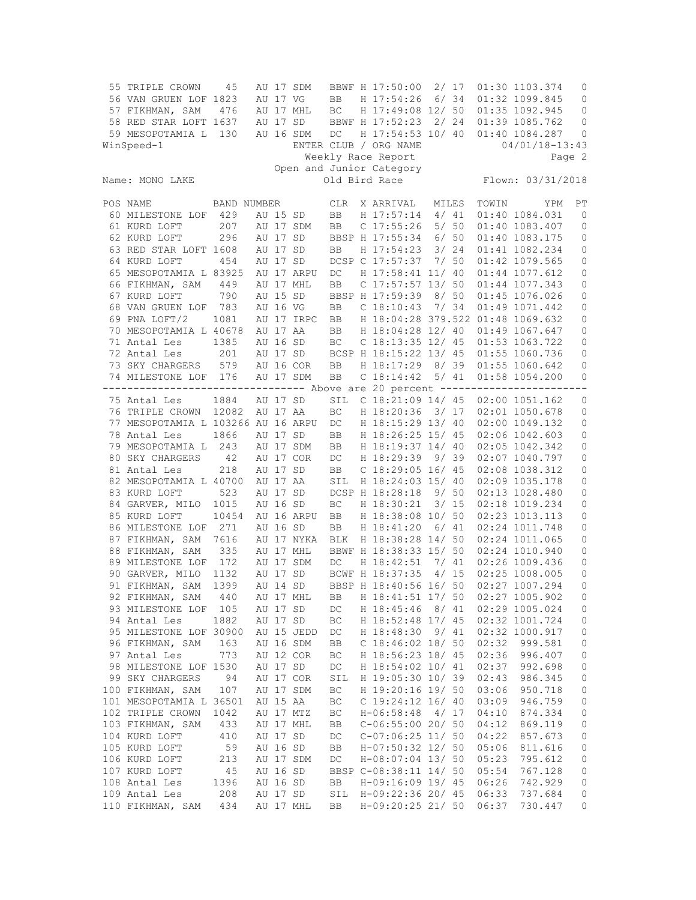|                                                          | 55 TRIPLE CROWN<br>56 VAN GRUEN LOF 1823<br>57 FIKHMAN, SAM                   | 45<br>476   |  | AU 17 VG      | AU 17 SDM<br>AU 17 MHL | BB<br>BC   |  | BBWF H 17:50:00<br>H 17:54:26<br>H 17:49:08 12/ 50 |                   | 2/17<br>6/34 |       | 01:30 1103.374<br>01:32 1099.845<br>01:35 1092.945  | 0<br>0<br>0         |
|----------------------------------------------------------|-------------------------------------------------------------------------------|-------------|--|---------------|------------------------|------------|--|----------------------------------------------------|-------------------|--------------|-------|-----------------------------------------------------|---------------------|
|                                                          | 58 RED STAR LOFT 1637                                                         |             |  | AU 17 SD      |                        |            |  | BBWF H 17:52:23                                    |                   | 2/24         |       | 01:39 1085.762                                      | 0                   |
|                                                          | 59 MESOPOTAMIA L<br>WinSpeed-1                                                | 130         |  |               | AU 16 SDM              | DC         |  | H 17:54:53 10/ 40<br>ENTER CLUB / ORG NAME         |                   |              |       | 01:40 1084.287<br>$04/01/18 - 13:43$                | 0                   |
|                                                          |                                                                               |             |  |               |                        |            |  |                                                    |                   |              |       |                                                     |                     |
| Weekly Race Report<br>Page 2<br>Open and Junior Category |                                                                               |             |  |               |                        |            |  |                                                    |                   |              |       |                                                     |                     |
|                                                          | Name: MONO LAKE                                                               |             |  | Old Bird Race |                        |            |  |                                                    | Flown: 03/31/2018 |              |       |                                                     |                     |
|                                                          | POS NAME                                                                      | BAND NUMBER |  |               |                        | <b>CLR</b> |  | X ARRIVAL                                          | MILES             |              | TOWIN | YPM                                                 | РT                  |
|                                                          | 60 MILESTONE LOF                                                              | 429         |  | AU 15 SD      |                        | <b>BB</b>  |  | H 17:57:14                                         |                   | 4/41         |       | 01:40 1084.031                                      | $\mathbf{0}$        |
|                                                          | 61 KURD LOFT                                                                  | 207         |  |               | AU 17 SDM              | BB         |  | $C$ 17:55:26                                       |                   | 5/50         |       | 01:40 1083.407                                      | 0                   |
|                                                          | 62 KURD LOFT                                                                  | 296         |  | AU 17 SD      |                        |            |  | BBSP H 17:55:34                                    |                   | 6/50         |       | 01:40 1083.175                                      | 0                   |
|                                                          | 63 RED STAR LOFT 1608                                                         |             |  | AU 17 SD      |                        | BB         |  | H 17:54:23                                         |                   | 3/24         |       | 01:41 1082.234                                      | 0                   |
|                                                          | 64 KURD LOFT                                                                  | 454         |  | AU 17 SD      |                        |            |  | DCSP C 17:57:37                                    |                   | 7/50         |       | 01:42 1079.565                                      | 0                   |
|                                                          | 65 MESOPOTAMIA L 83925                                                        |             |  |               | AU 17 ARPU             | DC         |  | H 17:58:41 11/ 40                                  |                   |              |       | 01:44 1077.612                                      | $\mathbb O$         |
|                                                          | 66 FIKHMAN, SAM                                                               | 449         |  |               | AU 17 MHL              | <b>BB</b>  |  | $C$ 17:57:57 13/50                                 |                   |              |       | 01:44 1077.343                                      | 0                   |
|                                                          | 67 KURD LOFT                                                                  | 790         |  | AU 15 SD      |                        |            |  | BBSP H 17:59:39                                    |                   | 8/50<br>7/34 |       | 01:45 1076.026                                      | 0                   |
|                                                          | 68 VAN GRUEN LOF<br>69 PNA LOFT/2                                             | 783         |  | AU 16 VG      |                        | BB         |  | C <sub>18:10:43</sub>                              |                   |              |       | 01:49 1071.442                                      | 0                   |
|                                                          | 70 MESOPOTAMIA L 40678                                                        | 1081        |  | AU 17 AA      | AU 17 IRPC             | BB         |  | H 18:04:28 12/ 40                                  |                   |              |       | H 18:04:28 379.522 01:48 1069.632<br>01:49 1067.647 | 0<br>0              |
|                                                          |                                                                               | 1385        |  | AU 16 SD      |                        | <b>BB</b>  |  | C 18:13:35 12/ 45                                  |                   |              |       | 01:53 1063.722                                      |                     |
|                                                          | 71 Antal Les<br>72 Antal Les                                                  | 201         |  | AU 17 SD      |                        | BC         |  | BCSP H 18:15:22 13/ 45                             |                   |              |       | 01:55 1060.736                                      | 0                   |
|                                                          |                                                                               | 579         |  |               | AU 16 COR              |            |  | H 18:17:29                                         |                   | 8/39         |       | 01:55 1060.642                                      | 0                   |
|                                                          | 73 SKY CHARGERS<br>74 MILESTONE LOF 176                                       |             |  |               | AU 17 SDM              | BB<br>BB   |  | C 18:14:42                                         |                   | 5/41         |       | 01:58 1054.200                                      | 0<br>0              |
|                                                          | ------------------------------- Above are 20 percent ------------------------ |             |  |               |                        |            |  |                                                    |                   |              |       |                                                     |                     |
|                                                          | 75 Antal Les                                                                  | 1884        |  | AU 17 SD      |                        | SIL        |  | C $18:21:09$ $14/45$                               |                   |              |       | 02:00 1051.162                                      | $\mathbf 0$         |
|                                                          | 76 TRIPLE CROWN                                                               | 12082       |  | AU 17 AA      |                        | BC         |  | H 18:20:36                                         |                   | 3/17         |       | 02:01 1050.678                                      | 0                   |
|                                                          | 77 MESOPOTAMIA L 103266 AU 16 ARPU                                            |             |  |               |                        | DC         |  | H 18:15:29 13/ 40                                  |                   |              |       | 02:00 1049.132                                      | 0                   |
|                                                          | 78 Antal Les                                                                  | 1866        |  | AU 17 SD      |                        | BB         |  | H 18:26:25 15/ 45                                  |                   |              |       | 02:06 1042.603                                      | 0                   |
|                                                          | 79 MESOPOTAMIA L                                                              | 243         |  |               | AU 17 SDM              | <b>BB</b>  |  | H 18:19:37 14/ 40                                  |                   |              |       | 02:05 1042.342                                      | 0                   |
|                                                          | 80 SKY CHARGERS                                                               | 42          |  |               | AU 17 COR              | DC         |  | H 18:29:39                                         |                   | 9/39         |       | 02:07 1040.797                                      | 0                   |
|                                                          | 81 Antal Les                                                                  | 218         |  | AU 17 SD      |                        | BB         |  | C $18:29:05$ $16/45$                               |                   |              |       | 02:08 1038.312                                      | 0                   |
|                                                          | 82 MESOPOTAMIA L 40700                                                        |             |  | AU 17 AA      |                        | SIL        |  | H 18:24:03 15/ 40                                  |                   |              |       | 02:09 1035.178                                      | 0                   |
|                                                          | 83 KURD LOFT                                                                  | 523         |  | AU 17 SD      |                        |            |  | DCSP H 18:28:18                                    |                   | 9/50         |       | 02:13 1028.480                                      | 0                   |
|                                                          | 84 GARVER, MILO                                                               | 1015        |  | AU 16 SD      |                        | BC         |  | H 18:30:21                                         |                   | 3/15         |       | 02:18 1019.234                                      | 0                   |
|                                                          | 85 KURD LOFT                                                                  | 10454       |  |               | AU 16 ARPU             | BB         |  | H 18:38:08 10/ 50                                  |                   |              |       | 02:23 1013.113                                      | 0                   |
|                                                          | 86 MILESTONE LOF                                                              | 271         |  | AU 16 SD      |                        | BB         |  | H 18:41:20                                         |                   | 6/41         |       | 02:24 1011.748                                      | 0                   |
|                                                          | 87 FIKHMAN, SAM                                                               | 7616        |  |               | AU 17 NYKA             | BLK        |  | H 18:38:28 14/ 50                                  |                   |              |       | 02:24 1011.065                                      | 0                   |
|                                                          | 88 FIKHMAN, SAM                                                               | 335         |  |               | AU 17 MHL              |            |  | BBWF H 18:38:33 15/ 50                             |                   |              |       | 02:24 1010.940                                      | 0                   |
|                                                          | 89 MILESTONE LOF                                                              | 172         |  |               | AU 17 SDM              | DC         |  | H 18:42:51                                         |                   | 7/41         |       | 02:26 1009.436                                      | 0                   |
|                                                          | 90 GARVER, MILO 1132                                                          |             |  | AU 17 SD      |                        |            |  | BCWF H 18:37:35                                    |                   | 4/15         |       | 02:25 1008.005                                      | 0                   |
|                                                          | 91 FIKHMAN, SAM                                                               | 1399        |  | AU 14 SD      |                        |            |  | BBSP H 18:40:56 16/ 50                             |                   |              |       | 02:27 1007.294                                      | $\mathbf{0}$        |
|                                                          | 92 FIKHMAN, SAM                                                               | 440         |  |               | AU 17 MHL              | ВB         |  | H 18:41:51 17/ 50                                  |                   |              |       | 02:27 1005.902                                      | 0                   |
|                                                          | 93 MILESTONE LOF                                                              | 105         |  | AU 17 SD      |                        | DC         |  | H 18:45:46                                         |                   | 8/41         |       | 02:29 1005.024                                      | 0                   |
|                                                          | 94 Antal Les                                                                  | 1882        |  | AU 17 SD      |                        | ВC         |  | H 18:52:48 17/ 45                                  |                   |              |       | 02:32 1001.724                                      | $\circ$             |
|                                                          | 95 MILESTONE LOF 30900                                                        |             |  |               | AU 15 JEDD             | DC         |  | H 18:48:30                                         |                   | 9/41         |       | 02:32 1000.917                                      | 0                   |
|                                                          | 96 FIKHMAN, SAM                                                               | 163         |  |               | AU 16 SDM              | BB         |  | $C$ 18:46:02 18/ 50                                |                   |              | 02:32 | 999.581                                             | 0                   |
|                                                          | 97 Antal Les                                                                  | 773         |  |               | AU 12 COR              | BC         |  | H 18:56:23 18/ 45                                  |                   |              | 02:36 | 996.407                                             | 0                   |
|                                                          | 98 MILESTONE LOF 1530                                                         |             |  | AU 17 SD      |                        | DC         |  | H 18:54:02 10/ 41                                  |                   |              | 02:37 | 992.698                                             | 0                   |
|                                                          | 99 SKY CHARGERS                                                               | 94          |  |               | AU 17 COR              | SIL        |  | H 19:05:30 10/ 39                                  |                   |              | 02:43 | 986.345                                             | $\mathbb O$         |
|                                                          | 100 FIKHMAN, SAM                                                              | 107         |  |               | AU 17 SDM              | ВC         |  | H 19:20:16 19/ 50                                  |                   |              | 03:06 | 950.718                                             | 0                   |
|                                                          | 101 MESOPOTAMIA L 36501                                                       |             |  | AU 15 AA      |                        | ВC         |  | C $19:24:12$ $16/40$                               |                   |              | 03:09 | 946.759                                             | 0                   |
|                                                          | 102 TRIPLE CROWN                                                              | 1042        |  |               | AU 17 MTZ              | ВC         |  | $H - 06:58:48$                                     |                   | 4/17         | 04:10 | 874.334                                             | 0                   |
|                                                          | 103 FIKHMAN, SAM                                                              | 433         |  |               | AU 17 MHL              | BB         |  | $C-06:55:00$ 20/ 50                                |                   |              | 04:12 | 869.119                                             | 0                   |
|                                                          | 104 KURD LOFT                                                                 | 410         |  | AU 17 SD      |                        | DC         |  | $C-07:06:25$ 11/ 50                                |                   |              | 04:22 | 857.673                                             | $\mathsf{O}\xspace$ |
|                                                          | 105 KURD LOFT                                                                 | 59          |  | AU 16 SD      |                        | BB         |  | H-07:50:32 12/ 50                                  |                   |              | 05:06 | 811.616                                             | $\mathbb O$         |
|                                                          | 106 KURD LOFT                                                                 | 213         |  |               | AU 17 SDM              | DC         |  | H-08:07:04 13/ 50                                  |                   |              | 05:23 | 795.612                                             | 0                   |
|                                                          | 107 KURD LOFT                                                                 | 45          |  | AU 16 SD      |                        |            |  | BBSP C-08:38:11 14/ 50                             |                   |              | 05:54 | 767.128                                             | 0                   |
|                                                          | 108 Antal Les                                                                 | 1396        |  | AU 16 SD      |                        | BB         |  | H-09:16:09 19/ 45                                  |                   |              | 06:26 | 742.929                                             | 0                   |
|                                                          | 109 Antal Les                                                                 | 208         |  | AU 17 SD      |                        | SIL        |  | H-09:22:36 20/ 45                                  |                   |              | 06:33 | 737.684                                             | 0                   |
|                                                          | 110 FIKHMAN, SAM                                                              | 434         |  |               | AU 17 MHL              | BB         |  | H-09:20:25 21/ 50                                  |                   |              | 06:37 | 730.447                                             | 0                   |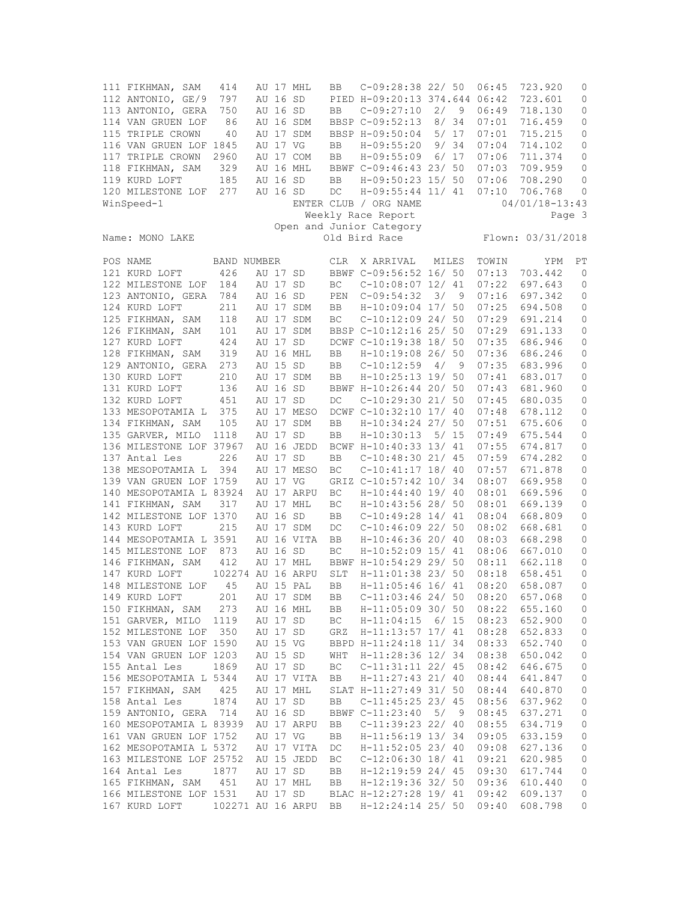111 FIKHMAN, SAM 414 AU 17 MHL BB C-09:28:38 22/ 50 06:45 723.920 0 112 ANTONIO, GE/9 797 AU 16 SD PIED H-09:20:13 374.644 06:42 723.601 0 113 ANTONIO, GERA 750 AU 16 SD BB C-09:27:10 2/ 9 06:49 718.130 0 114 VAN GRUEN LOF 86 AU 16 SDM BBSP C-09:52:13 8/ 34 07:01 716.459 0 115 TRIPLE CROWN 40 AU 17 SDM BBSP H-09:50:04 5/ 17 07:01 715.215 0 116 VAN GRUEN LOF 1845 AU 17 VG BB H-09:55:20 9/ 34 07:04 714.102 0 117 TRIPLE CROWN 2960 AU 17 COM BB H-09:55:09 6/ 17 07:06 711.374 0 118 FIKHMAN, SAM 329 AU 16 MHL BBWF C-09:46:43 23/ 50 07:03 709.959 0 119 KURD LOFT 185 AU 16 SD BB H-09:50:23 15/ 50 07:06 708.290 0 120 MILESTONE LOF 277 AU 16 SD DC H-09:55:44 11/ 41 07:10 706.768 0 WinSpeed-1 **ENTER CLUB** / ORG NAME 04/01/18-13:43 Weekly Race Report Page 3 Open and Junior Category<br>Name: MONO LAKE Old Bird Race Flown: 03/31/2018 POS NAME BAND NUMBER CLR X ARRIVAL MILES TOWIN YPM PT 121 KURD LOFT 426 AU 17 SD BBWF C-09:56:52 16/ 50 07:13 703.442 0 122 MILESTONE LOF 184 AU 17 SD BC C-10:08:07 12/ 41 07:22 697.643 0 123 ANTONIO, GERA 784 AU 16 SD PEN C-09:54:32 3/ 9 07:16 697.342 0 124 KURD LOFT 211 AU 17 SDM BB H-10:09:04 17/ 50 07:25 694.508 0 125 FIKHMAN, SAM 118 AU 17 SDM BC C-10:12:09 24/ 50 07:29 691.214 0 126 FIKHMAN, SAM 101 AU 17 SDM BBSP C-10:12:16 25/ 50 07:29 691.133<br>127 KURD LOFT 424 AU 17 SD DCWF C-10:19:38 18/ 50 07:35 686.946<br>128 FIKHMAN, SAM 319 AU 16 MHL BB H-10:19:08 26/ 50 07:36 686.246 127 KURD LOFT 424 AU 17 SD DCWF C-10:19:38 18/ 50 07:35 686.946 0 128 FIKHMAN, SAM 319 AU 16 MHL BB H-10:19:08 26/ 50 07:36 686.246 0 129 ANTONIO, GERA 273 AU 15 SD BB C-10:12:59 4/ 9 07:35 683.996 0 130 KURD LOFT 210 AU 17 SDM BB H-10:25:13 19/ 50 07:41 683.017 0 131 KURD LOFT 136 AU 16 SD BBWF H-10:26:44 20/ 50 07:43 681.960 0 132 KURD LOFT 451 AU 17 SD DC C-10:29:30 21/ 50 07:45 680.035 0 133 MESOPOTAMIA L 375 AU 17 MESO DCWF C-10:32:10 17/ 40 07:48 678.112 0 134 FIKHMAN, SAM 105 AU 17 SDM BB H-10:34:24 27/ 50 07:51 675.606 0 135 GARVER, MILO 1118 AU 17 SD BB H-10:30:13 5/ 15 07:49 675.544 0 136 MILESTONE LOF 37967 AU 16 JEDD BCWF H-10:40:33 13/ 41 07:55 674.817 0 137 Antal Les 226 AU 17 SD BB C-10:48:30 21/ 45 07:59 674.282 0 138 MESOPOTAMIA L 394 AU 17 MESO BC C-10:41:17 18/ 40 07:57 671.878 0 139 VAN GRUEN LOF 1759 AU 17 VG GRIZ C-10:57:42 10/ 34 08:07 669.958 0 140 MESOPOTAMIA L 83924 AU 17 ARPU BC H-10:44:40 19/ 40 08:01 669.596 0<br>141 FIKHMAN, SAM 317 AU 17 MHL BC H-10:43:56 28/ 50 08:01 669.139 0 141 FIKHMAN, SAM 317 AU 17 MHL BC<br>142 MILESTONE LOF 1370 AU 16 SD BB 142 MILESTONE LOF 1370 AU 16 SD BB C-10:49:28 14/ 41 08:04 668.809 0<br>143 KURD LOFT 215 AU 17 SDM DC C-10:46:09 22/ 50 08:02 668.681 0 143 KURD LOFT 215 AU 17 SDM DC C-10:46:09 22/ 50 08:02 668.681 0 144 MESOPOTAMIA L 3591 AU 16 VITA BB H-10:46:36 20/ 40 08:03 668.298 0 145 MILESTONE LOF 873 AU 16 SD BC H-10:52:09 15/ 41 08:06 667.010 0 146 FIKHMAN, SAM 412 AU 17 MHL BBWF H-10:54:29 29/ 50 08:11 662.118 0 147 KURD LOFT 102274 AU 16 ARPU SLT H-11:01:38 23/ 50 08:18 658.451 0 148 MILESTONE LOF 45 AU 15 PAL BB H-11:05:46 16/ 41 08:20 658.087 0 149 KURD LOFT 201 AU 17 SDM BB C-11:03:46 24/ 50 08:20 657.068 0 150 FIKHMAN, SAM 273 AU 16 MHL BB H-11:05:09 30/ 50 08:22 655.160 0 151 GARVER, MILO 1119 AU 17 SD BC H-11:04:15 6/ 15 08:23 652.900 0 152 MILESTONE LOF 350 AU 17 SD GRZ H-11:13:57 17/ 41 08:28 652.833 0 153 VAN GRUEN LOF 1590 AU 15 VG BBPD H-11:24:18 11/ 34 08:33 652.740 0 154 VAN GRUEN LOF 1203 AU 15 SD WHT H-11:28:36 12/ 34 08:38 650.042 0 155 Antal Les 1869 AU 17 SD BC C-11:31:11 22/ 45 08:42 646.675 0 156 MESOPOTAMIA L 5344 AU 17 VITA BB H-11:27:43 21/ 40 08:44 641.847 0 157 FIKHMAN, SAM 425 AU 17 MHL SLAT H-11:27:49 31/ 50 08:44 640.870 0 158 Antal Les 1874 AU 17 SD BB C-11:45:25 23/ 45 08:56 637.962 0 159 ANTONIO, GERA 714 AU 16 SD BBWF C-11:23:40 5/ 9 08:45 637.271 0 160 MESOPOTAMIA L 83939 AU 17 ARPU BB C-11:39:23 22/ 40 08:55 634.719 0 161 VAN GRUEN LOF 1752 AU 17 VG BB H-11:56:19 13/ 34 09:05 633.159 0 162 MESOPOTAMIA L 5372 AU 17 VITA DC H-11:52:05 23/ 40 09:08 627.136 0 163 MILESTONE LOF 25752 AU 15 JEDD BC C-12:06:30 18/ 41 09:21 620.985 0 164 Antal Les 1877 AU 17 SD BB H-12:19:59 24/ 45 09:30 617.744 0 165 FIKHMAN, SAM 451 AU 17 MHL BB H-12:19:36 32/ 50 09:36 610.440 0 166 MILESTONE LOF 1531 AU 17 SD BLAC H-12:27:28 19/ 41 09:42 609.137 0 167 KURD LOFT 102271 AU 16 ARPU BB H-12:24:14 25/ 50 09:40 608.798 0